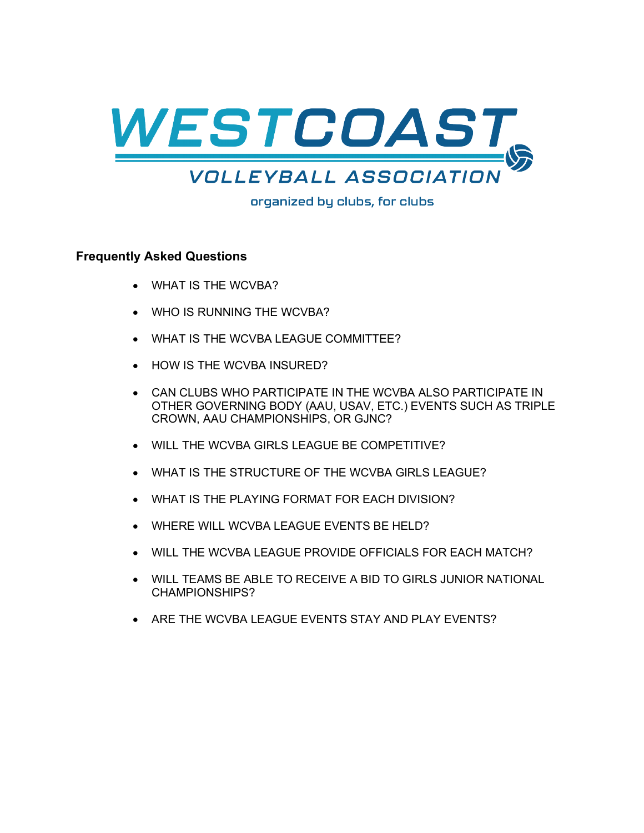

organized by clubs, for clubs

#### **Frequently Asked Questions**

- WHAT IS THE WCVBA?
- WHO IS RUNNING THE WCVBA?
- WHAT IS THE WCVBA LEAGUE COMMITTEE?
- HOW IS THE WCVBA INSURED?
- CAN CLUBS WHO PARTICIPATE IN THE WCVBA ALSO PARTICIPATE IN OTHER GOVERNING BODY (AAU, USAV, ETC.) EVENTS SUCH AS TRIPLE CROWN, AAU CHAMPIONSHIPS, OR GJNC?
- WILL THE WCVBA GIRLS LEAGUE BE COMPETITIVE?
- WHAT IS THE STRUCTURE OF THE WCVBA GIRLS LEAGUE?
- WHAT IS THE PLAYING FORMAT FOR EACH DIVISION?
- WHERE WILL WCVBA LEAGUE EVENTS BE HELD?
- WILL THE WCVBA LEAGUE PROVIDE OFFICIALS FOR EACH MATCH?
- WILL TEAMS BE ABLE TO RECEIVE A BID TO GIRLS JUNIOR NATIONAL CHAMPIONSHIPS?
- ARE THE WCVBA LEAGUE EVENTS STAY AND PLAY EVENTS?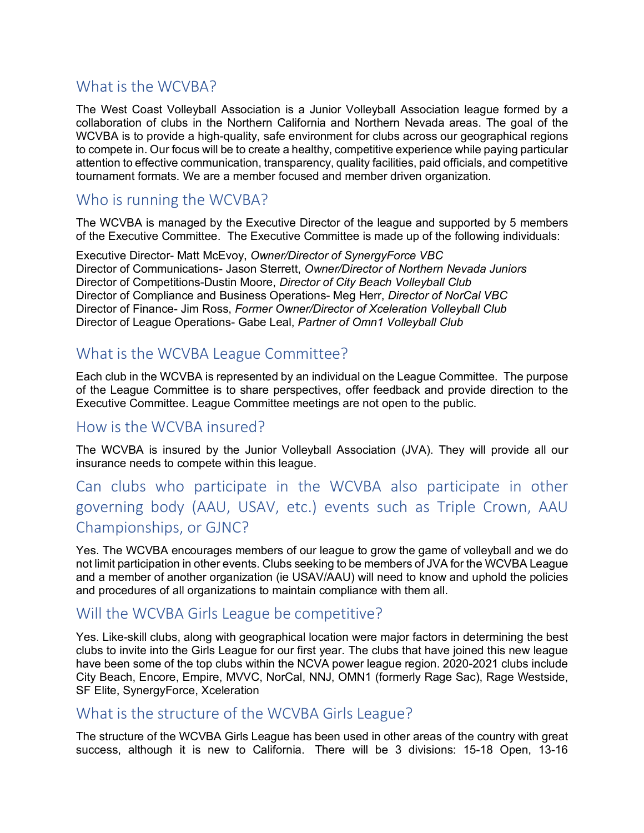# What is the WCVBA?

The West Coast Volleyball Association is a Junior Volleyball Association league formed by a collaboration of clubs in the Northern California and Northern Nevada areas. The goal of the WCVBA is to provide a high-quality, safe environment for clubs across our geographical regions to compete in. Our focus will be to create a healthy, competitive experience while paying particular attention to effective communication, transparency, quality facilities, paid officials, and competitive tournament formats. We are a member focused and member driven organization.

#### Who is running the WCVBA?

The WCVBA is managed by the Executive Director of the league and supported by 5 members of the Executive Committee. The Executive Committee is made up of the following individuals:

Executive Director- Matt McEvoy, *Owner/Director of SynergyForce VBC* Director of Communications- Jason Sterrett, *Owner/Director of Northern Nevada Juniors* Director of Competitions-Dustin Moore, *Director of City Beach Volleyball Club* Director of Compliance and Business Operations- Meg Herr, *Director of NorCal VBC* Director of Finance- Jim Ross, *Former Owner/Director of Xceleration Volleyball Club* Director of League Operations- Gabe Leal, *Partner of Omn1 Volleyball Club*

## What is the WCVBA League Committee?

Each club in the WCVBA is represented by an individual on the League Committee. The purpose of the League Committee is to share perspectives, offer feedback and provide direction to the Executive Committee. League Committee meetings are not open to the public.

#### How is the WCVBA insured?

The WCVBA is insured by the Junior Volleyball Association (JVA). They will provide all our insurance needs to compete within this league.

# Can clubs who participate in the WCVBA also participate in other governing body (AAU, USAV, etc.) events such as Triple Crown, AAU Championships, or GJNC?

Yes. The WCVBA encourages members of our league to grow the game of volleyball and we do not limit participation in other events. Clubs seeking to be members of JVA for the WCVBA League and a member of another organization (ie USAV/AAU) will need to know and uphold the policies and procedures of all organizations to maintain compliance with them all.

## Will the WCVBA Girls League be competitive?

Yes. Like-skill clubs, along with geographical location were major factors in determining the best clubs to invite into the Girls League for our first year. The clubs that have joined this new league have been some of the top clubs within the NCVA power league region. 2020-2021 clubs include City Beach, Encore, Empire, MVVC, NorCal, NNJ, OMN1 (formerly Rage Sac), Rage Westside, SF Elite, SynergyForce, Xceleration

#### What is the structure of the WCVBA Girls League?

The structure of the WCVBA Girls League has been used in other areas of the country with great success, although it is new to California. There will be 3 divisions: 15-18 Open, 13-16